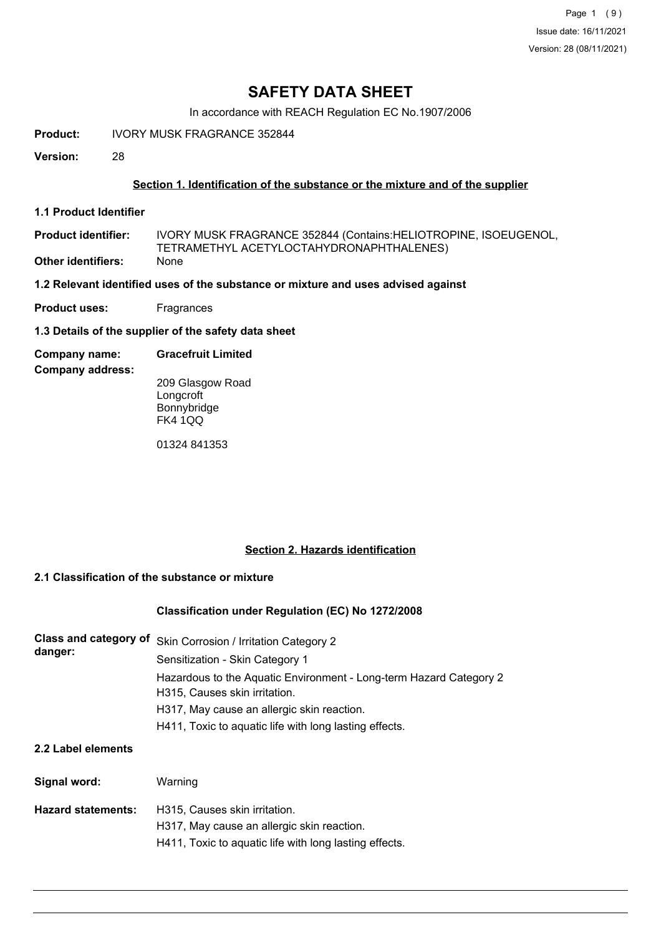## **SAFETY DATA SHEET**

In accordance with REACH Regulation EC No.1907/2006

**Product:** IVORY MUSK FRAGRANCE 352844

**Version:** 28

## **Section 1. Identification of the substance or the mixture and of the supplier**

**1.1 Product Identifier**

IVORY MUSK FRAGRANCE 352844 (Contains:HELIOTROPINE, ISOEUGENOL, TETRAMETHYL ACETYLOCTAHYDRONAPHTHALENES) **Product identifier: Other identifiers:** None

**1.2 Relevant identified uses of the substance or mixture and uses advised against**

**Product uses:** Fragrances

**1.3 Details of the supplier of the safety data sheet**

**Company name: Gracefruit Limited**

**Company address:**

209 Glasgow Road **Longcroft Bonnybridge** FK4 1QQ

01324 841353

## **Section 2. Hazards identification**

## **2.1 Classification of the substance or mixture**

## **Classification under Regulation (EC) No 1272/2008**

| danger: | Class and category of Skin Corrosion / Irritation Category 2                                        |
|---------|-----------------------------------------------------------------------------------------------------|
|         | Sensitization - Skin Category 1                                                                     |
|         | Hazardous to the Aquatic Environment - Long-term Hazard Category 2<br>H315, Causes skin irritation. |
|         | H317, May cause an allergic skin reaction.                                                          |
|         | H411, Toxic to aquatic life with long lasting effects.                                              |
|         |                                                                                                     |

## **2.2 Label elements**

| Signal word:              | Warning                                                                                                                               |
|---------------------------|---------------------------------------------------------------------------------------------------------------------------------------|
| <b>Hazard statements:</b> | H315, Causes skin irritation.<br>H317, May cause an allergic skin reaction.<br>H411, Toxic to aguatic life with long lasting effects. |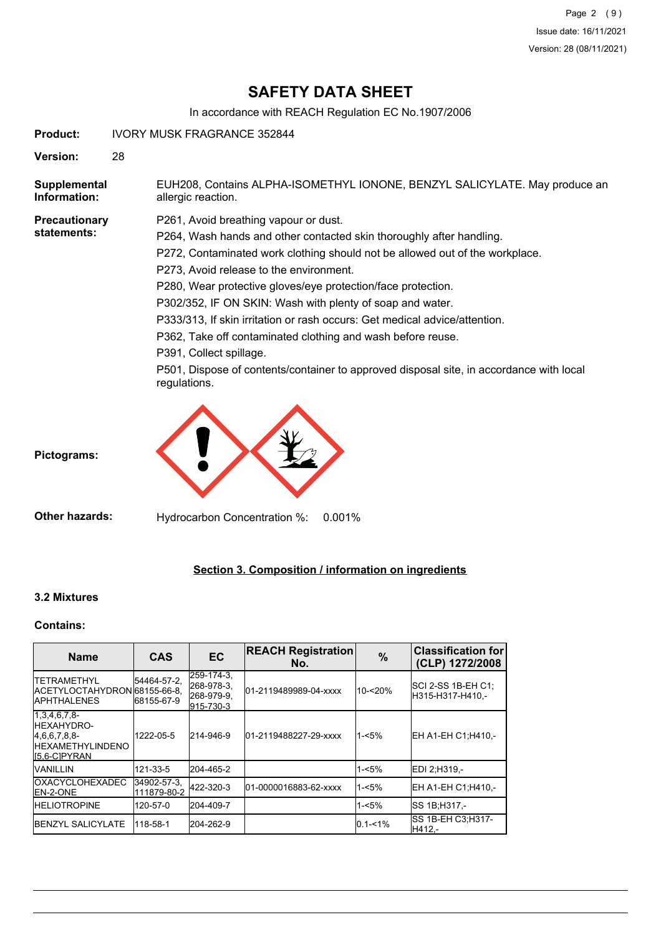## **SAFETY DATA SHEET**

In accordance with REACH Regulation EC No.1907/2006

**Product:** IVORY MUSK FRAGRANCE 352844

**Version:** 28

EUH208, Contains ALPHA-ISOMETHYL IONONE, BENZYL SALICYLATE. May produce an allergic reaction. **Supplemental Information:**

**Precautionary statements:**

P261, Avoid breathing vapour or dust.

P264, Wash hands and other contacted skin thoroughly after handling.

- P272, Contaminated work clothing should not be allowed out of the workplace.
- P273, Avoid release to the environment.
- P280, Wear protective gloves/eye protection/face protection.

P302/352, IF ON SKIN: Wash with plenty of soap and water.

- P333/313, If skin irritation or rash occurs: Get medical advice/attention.
- P362, Take off contaminated clothing and wash before reuse.
- P391, Collect spillage.

P501, Dispose of contents/container to approved disposal site, in accordance with local regulations.



**Pictograms:**

**Other hazards:** Hydrocarbon Concentration %: 0.001%

## **Section 3. Composition / information on ingredients**

## **3.2 Mixtures**

## **Contains:**

| <b>Name</b>                                                                                    | <b>CAS</b>                 | <b>EC</b>                                           | <b>REACH Registration</b><br>No. | $\%$        | <b>Classification for</b><br>(CLP) 1272/2008 |
|------------------------------------------------------------------------------------------------|----------------------------|-----------------------------------------------------|----------------------------------|-------------|----------------------------------------------|
| <b>ITETRAMETHYL</b><br>ACETYLOCTAHYDRON68155-66-8.<br><b>IAPHTHALENES</b>                      | 54464-57-2,<br>68155-67-9  | 259-174-3,<br>268-978-3.<br>268-979-9,<br>915-730-3 | 01-2119489989-04-xxxx            | 10-<20%     | SCI 2-SS 1B-EH C1;<br>H315-H317-H410.-       |
| 1,3,4,6,7,8<br><b>HEXAHYDRO-</b><br>[4,6,6,7,8,8]<br><b>HEXAMETHYLINDENO</b><br>$[5,6-C]PYRAN$ | 1222-05-5                  | 214-946-9                                           | 01-2119488227-29-xxxx            | $1 - 5%$    | EH A1-EH C1:H410 .-                          |
| <b>IVANILLIN</b>                                                                               | 121-33-5                   | 204-465-2                                           |                                  | 1-<5%       | EDI 2:H319 -                                 |
| <b>OXACYCLOHEXADEC</b><br><b>IEN-2-ONE</b>                                                     | 34902-57-3.<br>111879-80-2 | 422-320-3                                           | 01-0000016883-62-xxxx            | $1 - 5%$    | EH A1-EH C1:H410 .-                          |
| <b>HELIOTROPINE</b>                                                                            | 120-57-0                   | 204-409-7                                           |                                  | 1-<5%       | <b>ISS 1B:H317.-</b>                         |
| <b>IBENZYL SALICYLATE</b>                                                                      | 118-58-1                   | 204-262-9                                           |                                  | $0.1 - 1\%$ | <b>SS 1B-EH C3: H317-</b><br>H412.-          |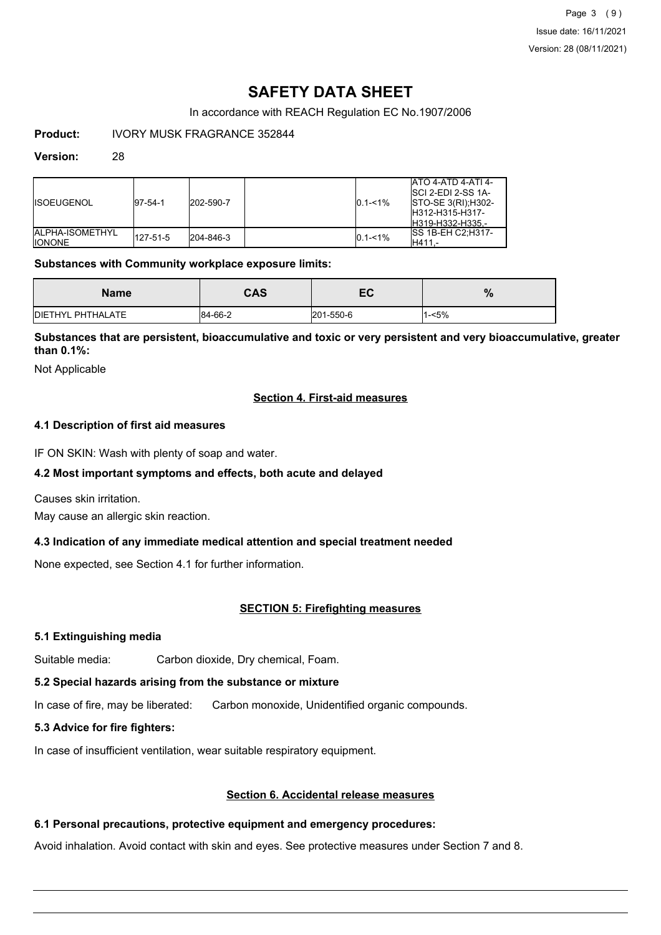Page 3 (9) Issue date: 16/11/2021 Version: 28 (08/11/2021)

## **SAFETY DATA SHEET**

In accordance with REACH Regulation EC No.1907/2006

**Product:** IVORY MUSK FRAGRANCE 352844

### **Version:** 28

| <b>IISOEUGENOL</b>                        | $ 97-54-1$ | 202-590-7 | $0.1 - 1\%$ | <b>ATO 4-ATD 4-ATI 4-</b><br>ISCI 2-EDI 2-SS 1A-<br><b>STO-SE 3(RI); H302-</b><br>IH312-H315-H317-<br>H319-H332-H335.- |
|-------------------------------------------|------------|-----------|-------------|------------------------------------------------------------------------------------------------------------------------|
| <b>IALPHA-ISOMETHYL</b><br><b>IIONONE</b> | 127-51-5   | 204-846-3 | $0.1 - 1\%$ | <b>ISS 1B-EH C2:H317-</b><br>H411.-                                                                                    |

## **Substances with Community workplace exposure limits:**

| Name                      | CAS     | — с<br>c. | %    |
|---------------------------|---------|-----------|------|
| <b>IDIETHYL PHTHALATE</b> | 84-66-2 | 201-550-6 | -<5% |

**Substances that are persistent, bioaccumulative and toxic or very persistent and very bioaccumulative, greater than 0.1%:**

Not Applicable

## **Section 4. First-aid measures**

## **4.1 Description of first aid measures**

IF ON SKIN: Wash with plenty of soap and water.

## **4.2 Most important symptoms and effects, both acute and delayed**

Causes skin irritation.

May cause an allergic skin reaction.

## **4.3 Indication of any immediate medical attention and special treatment needed**

None expected, see Section 4.1 for further information.

## **SECTION 5: Firefighting measures**

## **5.1 Extinguishing media**

Suitable media: Carbon dioxide, Dry chemical, Foam.

#### **5.2 Special hazards arising from the substance or mixture**

In case of fire, may be liberated: Carbon monoxide, Unidentified organic compounds.

## **5.3 Advice for fire fighters:**

In case of insufficient ventilation, wear suitable respiratory equipment.

## **Section 6. Accidental release measures**

## **6.1 Personal precautions, protective equipment and emergency procedures:**

Avoid inhalation. Avoid contact with skin and eyes. See protective measures under Section 7 and 8.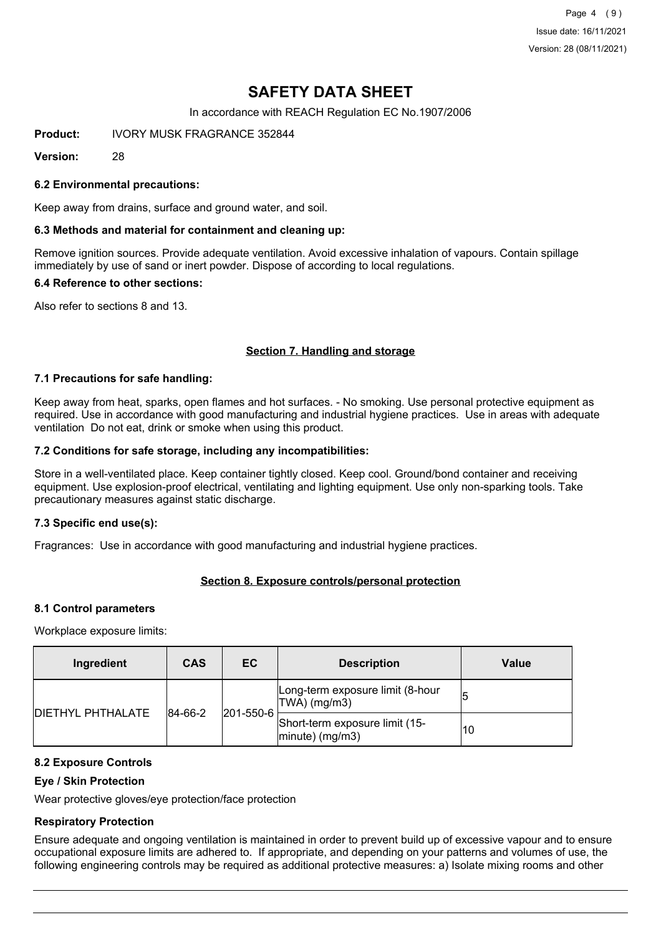Page 4 (9) Issue date: 16/11/2021 Version: 28 (08/11/2021)

## **SAFETY DATA SHEET**

In accordance with REACH Regulation EC No.1907/2006

**Product:** IVORY MUSK FRAGRANCE 352844

**Version:** 28

### **6.2 Environmental precautions:**

Keep away from drains, surface and ground water, and soil.

#### **6.3 Methods and material for containment and cleaning up:**

Remove ignition sources. Provide adequate ventilation. Avoid excessive inhalation of vapours. Contain spillage immediately by use of sand or inert powder. Dispose of according to local regulations.

#### **6.4 Reference to other sections:**

Also refer to sections 8 and 13.

## **Section 7. Handling and storage**

#### **7.1 Precautions for safe handling:**

Keep away from heat, sparks, open flames and hot surfaces. - No smoking. Use personal protective equipment as required. Use in accordance with good manufacturing and industrial hygiene practices. Use in areas with adequate ventilation Do not eat, drink or smoke when using this product.

#### **7.2 Conditions for safe storage, including any incompatibilities:**

Store in a well-ventilated place. Keep container tightly closed. Keep cool. Ground/bond container and receiving equipment. Use explosion-proof electrical, ventilating and lighting equipment. Use only non-sparking tools. Take precautionary measures against static discharge.

## **7.3 Specific end use(s):**

Fragrances: Use in accordance with good manufacturing and industrial hygiene practices.

## **Section 8. Exposure controls/personal protection**

#### **8.1 Control parameters**

Workplace exposure limits:

| Ingredient                          | <b>CAS</b> | EC.       | <b>Description</b>                                   | Value |
|-------------------------------------|------------|-----------|------------------------------------------------------|-------|
| <b>DIETHYL PHTHALATE</b><br>84-66-2 |            | 201-550-6 | Long-term exposure limit (8-hour<br>TWA) (mg/m3)     |       |
|                                     |            |           | Short-term exposure limit (15-<br>$ minute)$ (mg/m3) | 10    |

#### **8.2 Exposure Controls**

## **Eye / Skin Protection**

Wear protective gloves/eye protection/face protection

## **Respiratory Protection**

Ensure adequate and ongoing ventilation is maintained in order to prevent build up of excessive vapour and to ensure occupational exposure limits are adhered to. If appropriate, and depending on your patterns and volumes of use, the following engineering controls may be required as additional protective measures: a) Isolate mixing rooms and other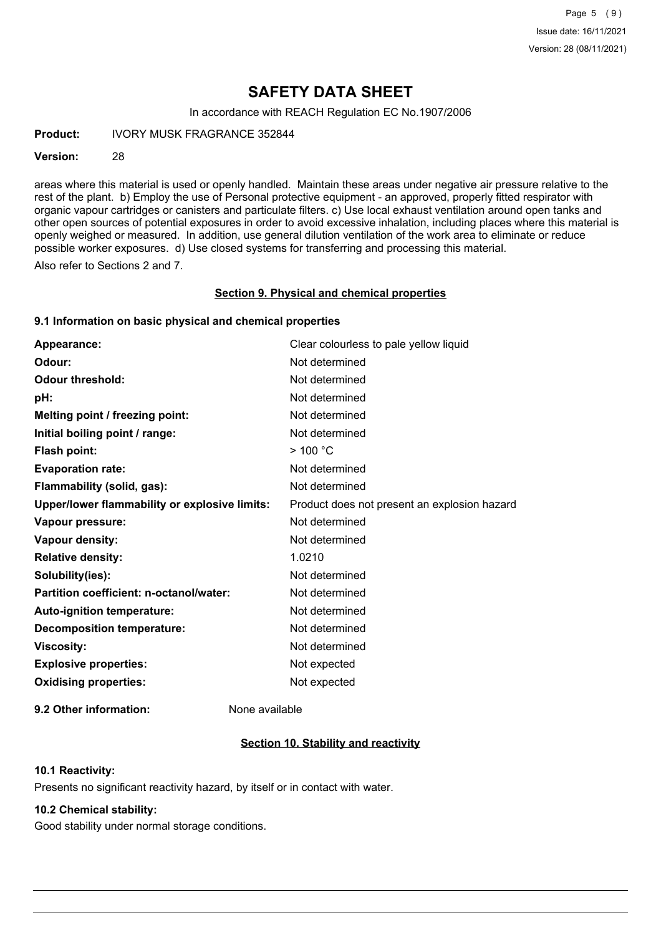## **SAFETY DATA SHEET**

In accordance with REACH Regulation EC No.1907/2006

**Product:** IVORY MUSK FRAGRANCE 352844

#### **Version:** 28

areas where this material is used or openly handled. Maintain these areas under negative air pressure relative to the rest of the plant. b) Employ the use of Personal protective equipment - an approved, properly fitted respirator with organic vapour cartridges or canisters and particulate filters. c) Use local exhaust ventilation around open tanks and other open sources of potential exposures in order to avoid excessive inhalation, including places where this material is openly weighed or measured. In addition, use general dilution ventilation of the work area to eliminate or reduce possible worker exposures. d) Use closed systems for transferring and processing this material.

Also refer to Sections 2 and 7.

#### **Section 9. Physical and chemical properties**

#### **9.1 Information on basic physical and chemical properties**

| Appearance:                                   | Clear colourless to pale yellow liquid       |
|-----------------------------------------------|----------------------------------------------|
| Odour:                                        | Not determined                               |
| <b>Odour threshold:</b>                       | Not determined                               |
| pH:                                           | Not determined                               |
| Melting point / freezing point:               | Not determined                               |
| Initial boiling point / range:                | Not determined                               |
| <b>Flash point:</b>                           | $>$ 100 °C                                   |
| <b>Evaporation rate:</b>                      | Not determined                               |
| Flammability (solid, gas):                    | Not determined                               |
| Upper/lower flammability or explosive limits: | Product does not present an explosion hazard |
| Vapour pressure:                              | Not determined                               |
| Vapour density:                               | Not determined                               |
| <b>Relative density:</b>                      | 1.0210                                       |
| Solubility(ies):                              | Not determined                               |
| Partition coefficient: n-octanol/water:       | Not determined                               |
| <b>Auto-ignition temperature:</b>             | Not determined                               |
| <b>Decomposition temperature:</b>             | Not determined                               |
| <b>Viscosity:</b>                             | Not determined                               |
| <b>Explosive properties:</b>                  | Not expected                                 |
| <b>Oxidising properties:</b>                  | Not expected                                 |
|                                               |                                              |

**9.2 Other information:** None available

## **Section 10. Stability and reactivity**

### **10.1 Reactivity:**

Presents no significant reactivity hazard, by itself or in contact with water.

## **10.2 Chemical stability:**

Good stability under normal storage conditions.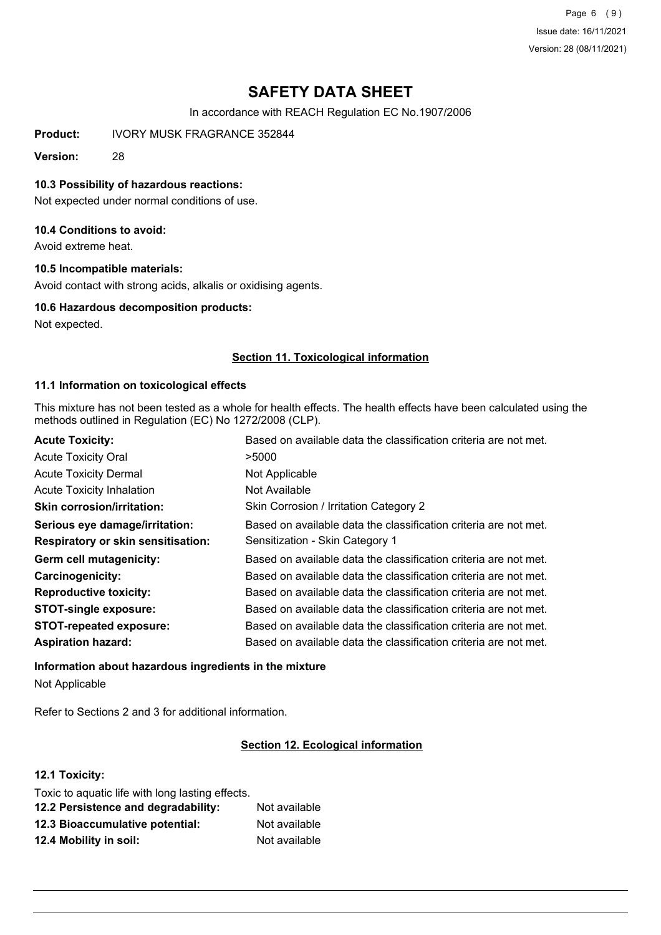Page 6 (9) Issue date: 16/11/2021 Version: 28 (08/11/2021)

## **SAFETY DATA SHEET**

In accordance with REACH Regulation EC No.1907/2006

**Product:** IVORY MUSK FRAGRANCE 352844

**Version:** 28

### **10.3 Possibility of hazardous reactions:**

Not expected under normal conditions of use.

### **10.4 Conditions to avoid:**

Avoid extreme heat.

## **10.5 Incompatible materials:**

Avoid contact with strong acids, alkalis or oxidising agents.

#### **10.6 Hazardous decomposition products:**

Not expected.

## **Section 11. Toxicological information**

#### **11.1 Information on toxicological effects**

This mixture has not been tested as a whole for health effects. The health effects have been calculated using the methods outlined in Regulation (EC) No 1272/2008 (CLP).

| <b>Acute Toxicity:</b>                    | Based on available data the classification criteria are not met. |
|-------------------------------------------|------------------------------------------------------------------|
| <b>Acute Toxicity Oral</b>                | >5000                                                            |
| <b>Acute Toxicity Dermal</b>              | Not Applicable                                                   |
| <b>Acute Toxicity Inhalation</b>          | Not Available                                                    |
| <b>Skin corrosion/irritation:</b>         | Skin Corrosion / Irritation Category 2                           |
| Serious eye damage/irritation:            | Based on available data the classification criteria are not met. |
| <b>Respiratory or skin sensitisation:</b> | Sensitization - Skin Category 1                                  |
| Germ cell mutagenicity:                   | Based on available data the classification criteria are not met. |
| <b>Carcinogenicity:</b>                   | Based on available data the classification criteria are not met. |
| <b>Reproductive toxicity:</b>             | Based on available data the classification criteria are not met. |
| <b>STOT-single exposure:</b>              | Based on available data the classification criteria are not met. |
| <b>STOT-repeated exposure:</b>            | Based on available data the classification criteria are not met. |
| <b>Aspiration hazard:</b>                 | Based on available data the classification criteria are not met. |

# **Information about hazardous ingredients in the mixture**

Not Applicable

Refer to Sections 2 and 3 for additional information.

#### **Section 12. Ecological information**

## **12.1 Toxicity:**

| Toxic to aquatic life with long lasting effects. |               |
|--------------------------------------------------|---------------|
| 12.2 Persistence and degradability:              | Not available |
| 12.3 Bioaccumulative potential:                  | Not available |
| 12.4 Mobility in soil:                           | Not available |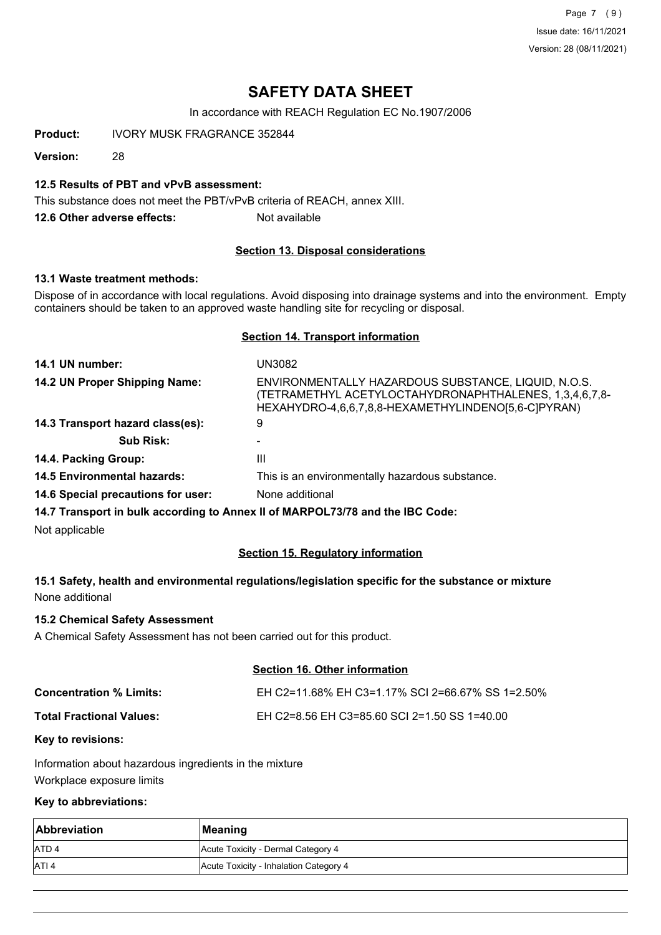Page 7 (9) Issue date: 16/11/2021 Version: 28 (08/11/2021)

## **SAFETY DATA SHEET**

In accordance with REACH Regulation EC No.1907/2006

**Product:** IVORY MUSK FRAGRANCE 352844

**Version:** 28

## **12.5 Results of PBT and vPvB assessment:**

This substance does not meet the PBT/vPvB criteria of REACH, annex XIII.

**12.6 Other adverse effects:** Not available

## **Section 13. Disposal considerations**

## **13.1 Waste treatment methods:**

Dispose of in accordance with local regulations. Avoid disposing into drainage systems and into the environment. Empty containers should be taken to an approved waste handling site for recycling or disposal.

## **Section 14. Transport information**

| 14.1 UN number:                    | UN3082                                                                                                                                                               |
|------------------------------------|----------------------------------------------------------------------------------------------------------------------------------------------------------------------|
| 14.2 UN Proper Shipping Name:      | ENVIRONMENTALLY HAZARDOUS SUBSTANCE, LIQUID, N.O.S.<br>(TETRAMETHYL ACETYLOCTAHYDRONAPHTHALENES, 1,3,4,6,7,8-<br>HEXAHYDRO-4,6,6,7,8,8-HEXAMETHYLINDENO[5,6-C]PYRAN) |
| 14.3 Transport hazard class(es):   | 9                                                                                                                                                                    |
| <b>Sub Risk:</b>                   |                                                                                                                                                                      |
| 14.4. Packing Group:               | Ш                                                                                                                                                                    |
| <b>14.5 Environmental hazards:</b> | This is an environmentally hazardous substance.                                                                                                                      |
| 14.6 Special precautions for user: | None additional                                                                                                                                                      |

**14.7 Transport in bulk according to Annex II of MARPOL73/78 and the IBC Code:**

Not applicable

## **Section 15. Regulatory information**

## **15.1 Safety, health and environmental regulations/legislation specific for the substance or mixture** None additional

## **15.2 Chemical Safety Assessment**

A Chemical Safety Assessment has not been carried out for this product.

## **Section 16. Other information**

| <b>Concentration % Limits:</b>  | EH C2=11.68% EH C3=1.17% SCI 2=66.67% SS 1=2.50% |
|---------------------------------|--------------------------------------------------|
| <b>Total Fractional Values:</b> | EH C2=8.56 EH C3=85.60 SCI 2=1.50 SS 1=40.00     |

#### **Key to revisions:**

Information about hazardous ingredients in the mixture Workplace exposure limits

### **Key to abbreviations:**

| Abbreviation     | Meaning                                |
|------------------|----------------------------------------|
| <b>ATD4</b>      | Acute Toxicity - Dermal Category 4     |
| ATI <sub>4</sub> | Acute Toxicity - Inhalation Category 4 |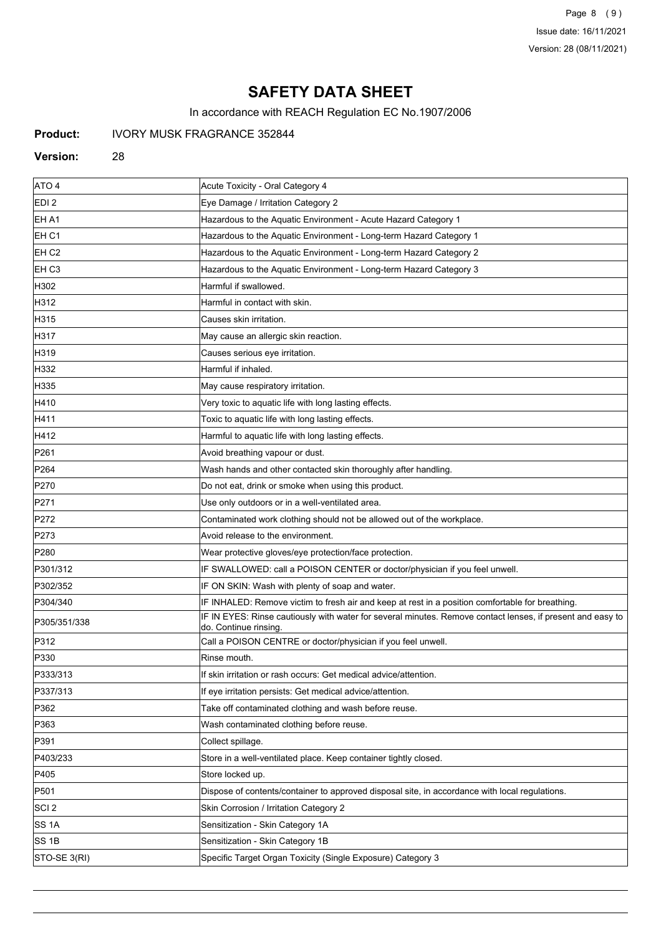Page 8 (9) Issue date: 16/11/2021 Version: 28 (08/11/2021)

## **SAFETY DATA SHEET**

In accordance with REACH Regulation EC No.1907/2006

## **Product:** IVORY MUSK FRAGRANCE 352844

#### **Version:** 28

| ATO <sub>4</sub>  | Acute Toxicity - Oral Category 4                                                                                                    |
|-------------------|-------------------------------------------------------------------------------------------------------------------------------------|
| EDI <sub>2</sub>  | Eye Damage / Irritation Category 2                                                                                                  |
| EH A1             | Hazardous to the Aquatic Environment - Acute Hazard Category 1                                                                      |
| EH C1             | Hazardous to the Aquatic Environment - Long-term Hazard Category 1                                                                  |
| EH <sub>C2</sub>  | Hazardous to the Aquatic Environment - Long-term Hazard Category 2                                                                  |
| EH C <sub>3</sub> | Hazardous to the Aquatic Environment - Long-term Hazard Category 3                                                                  |
| H302              | Harmful if swallowed.                                                                                                               |
| H312              | Harmful in contact with skin.                                                                                                       |
| H315              | Causes skin irritation.                                                                                                             |
| H317              | May cause an allergic skin reaction.                                                                                                |
| H319              | Causes serious eye irritation.                                                                                                      |
| H332              | Harmful if inhaled.                                                                                                                 |
| H335              | May cause respiratory irritation.                                                                                                   |
| H410              | Very toxic to aquatic life with long lasting effects.                                                                               |
| H411              | Toxic to aquatic life with long lasting effects.                                                                                    |
| H412              | Harmful to aquatic life with long lasting effects.                                                                                  |
| P <sub>261</sub>  | Avoid breathing vapour or dust.                                                                                                     |
| P <sub>264</sub>  | Wash hands and other contacted skin thoroughly after handling.                                                                      |
| P270              | Do not eat, drink or smoke when using this product.                                                                                 |
| P271              | Use only outdoors or in a well-ventilated area.                                                                                     |
| P272              | Contaminated work clothing should not be allowed out of the workplace.                                                              |
| P273              | Avoid release to the environment.                                                                                                   |
| P <sub>280</sub>  | Wear protective gloves/eye protection/face protection.                                                                              |
| P301/312          | IF SWALLOWED: call a POISON CENTER or doctor/physician if you feel unwell.                                                          |
| P302/352          | IF ON SKIN: Wash with plenty of soap and water.                                                                                     |
| P304/340          | IF INHALED: Remove victim to fresh air and keep at rest in a position comfortable for breathing.                                    |
| P305/351/338      | IF IN EYES: Rinse cautiously with water for several minutes. Remove contact lenses, if present and easy to<br>do. Continue rinsing. |
| P312              | Call a POISON CENTRE or doctor/physician if you feel unwell.                                                                        |
| P330              | Rinse mouth.                                                                                                                        |
| P333/313          | If skin irritation or rash occurs: Get medical advice/attention.                                                                    |
| P337/313          | If eye irritation persists: Get medical advice/attention.                                                                           |
| P362              | Take off contaminated clothing and wash before reuse.                                                                               |
| P363              | Wash contaminated clothing before reuse.                                                                                            |
| P391              | Collect spillage.                                                                                                                   |
| P403/233          | Store in a well-ventilated place. Keep container tightly closed.                                                                    |
| P405              | Store locked up.                                                                                                                    |
| P501              | Dispose of contents/container to approved disposal site, in accordance with local regulations.                                      |
| SCI <sub>2</sub>  | Skin Corrosion / Irritation Category 2                                                                                              |
| SS 1A             | Sensitization - Skin Category 1A                                                                                                    |
| <b>SS 1B</b>      | Sensitization - Skin Category 1B                                                                                                    |
| STO-SE 3(RI)      | Specific Target Organ Toxicity (Single Exposure) Category 3                                                                         |